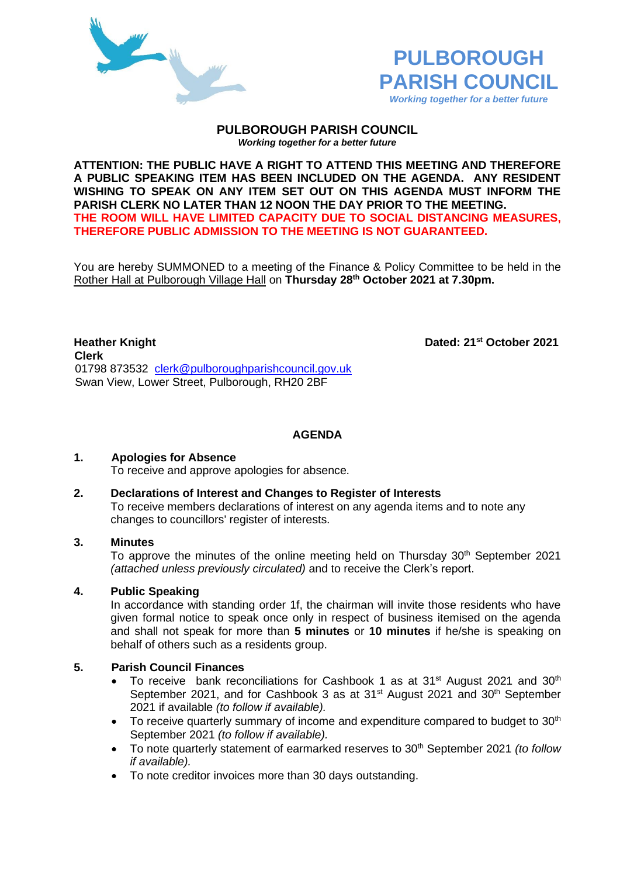



#### **PULBOROUGH PARISH COUNCIL** *Working together for a better future*

**ATTENTION: THE PUBLIC HAVE A RIGHT TO ATTEND THIS MEETING AND THEREFORE A PUBLIC SPEAKING ITEM HAS BEEN INCLUDED ON THE AGENDA. ANY RESIDENT WISHING TO SPEAK ON ANY ITEM SET OUT ON THIS AGENDA MUST INFORM THE PARISH CLERK NO LATER THAN 12 NOON THE DAY PRIOR TO THE MEETING. THE ROOM WILL HAVE LIMITED CAPACITY DUE TO SOCIAL DISTANCING MEASURES, THEREFORE PUBLIC ADMISSION TO THE MEETING IS NOT GUARANTEED.**

You are hereby SUMMONED to a meeting of the Finance & Policy Committee to be held in the Rother Hall at Pulborough Village Hall on **Thursday 28th October 2021 at 7.30pm.** 

**Heather Knight Dated: 21<sup>st</sup> October 2021 Clerk** 01798 873532 [clerk@pulboroughparishcouncil.gov.uk](mailto:clerk@pulboroughparishcouncil.gov.uk) Swan View, Lower Street, Pulborough, RH20 2BF

**AGENDA**

## **1. Apologies for Absence**

To receive and approve apologies for absence.

#### **2. Declarations of Interest and Changes to Register of Interests**

To receive members declarations of interest on any agenda items and to note any changes to councillors' register of interests.

#### **3. Minutes**

To approve the minutes of the online meeting held on Thursday 30<sup>th</sup> September 2021 *(attached unless previously circulated)* and to receive the Clerk's report.

## **4. Public Speaking**

In accordance with standing order 1f, the chairman will invite those residents who have given formal notice to speak once only in respect of business itemised on the agenda and shall not speak for more than **5 minutes** or **10 minutes** if he/she is speaking on behalf of others such as a residents group.

## **5. Parish Council Finances**

- To receive bank reconciliations for Cashbook 1 as at 31<sup>st</sup> August 2021 and 30<sup>th</sup> September 2021, and for Cashbook 3 as at 31<sup>st</sup> August 2021 and 30<sup>th</sup> September 2021 if available *(to follow if available).*
- To receive quarterly summary of income and expenditure compared to budget to 30<sup>th</sup> September 2021 *(to follow if available).*
- To note quarterly statement of earmarked reserves to 30<sup>th</sup> September 2021 *(to follow if available).*
- To note creditor invoices more than 30 days outstanding.